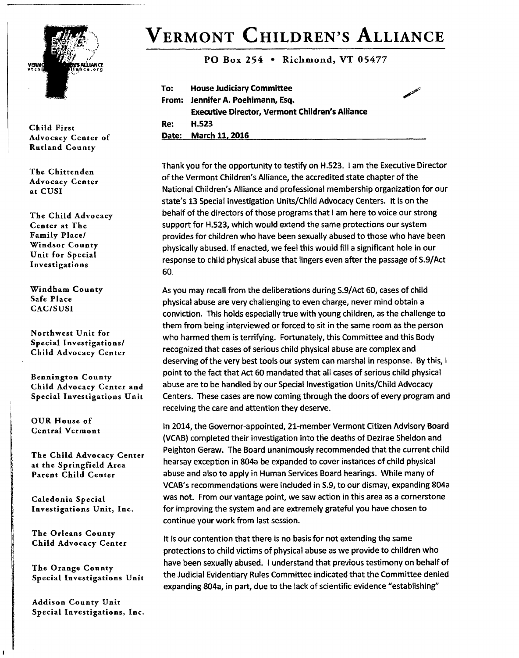

**VERMONT CHILDREN'S ALLIANCE** 

**PO Box 254 • Richmond, VT 05477** 

00"

| To: | <b>House Judiciary Committee</b>                       |
|-----|--------------------------------------------------------|
|     | From: Jennifer A. Poehlmann, Esq.                      |
|     | <b>Executive Director, Vermont Children's Alliance</b> |
| Re: | H.523                                                  |
|     | Date: March 11, 2016                                   |

Thank you for the opportunity to testify on H.523. I am the Executive Director of the Vermont Children's Alliance, the accredited state chapter of the National Children's Alliance and professional membership organization for our state's 13 Special Investigation Units/Child Advocacy Centers. It is on the behalf of the directors of those programs that I am here to voice our strong support for H.523, which would extend the same protections our system provides for children who have been sexually abused to those who have been physically abused. If enacted, we feel this would fill a significant hole in our response to child physical abuse that lingers even after the passage of S.9/Act 60.

As you may recall from the deliberations during 5.9/Act 60, cases of child physical abuse are very challenging to even charge, never mind obtain a conviction. This holds especially true with young children, as the challenge to them from being interviewed or forced to sit in the same room as the person who harmed them is terrifying. Fortunately, this Committee and this Body recognized that cases of serious child physical abuse are complex and deserving of the very best tools our system can marshal in response. By this, I point to the fact that Act 60 mandated that all cases of serious child physical abuse are to be handled by our Special Investigation Units/Child Advocacy Centers. These cases are now coming through the doors of every program and receiving the care and attention they deserve.

In 2014, the Governor-appointed, 21-member Vermont Citizen Advisory Board **(VCAB)** completed their investigation into the deaths of Dezirae Sheldon and Peighton Geraw. The Board unanimously recommended that the current child hearsay exception in 804a be expanded to cover instances of child physical abuse and also to apply in Human Services Board hearings. While many of VCAB's recommendations were included in S.9, to our dismay, expanding 804a was not. From our vantage point, we saw action in this area as a cornerstone for improving the system and are extremely grateful you have chosen to continue your work from last session.

It is our contention that there is no basis for not extending the same protections to child victims of physical abuse as we provide to children who have been sexually abused. I understand that previous testimony on behalf of the Judicial Evidentiary Rules Committee indicated that the Committee denied expanding 804a, in part, due to the lack of scientific evidence "establishing"

**Child First Advocacy Center of Rutland County** 

**The Chittenden Advocacy Center at CUSI** 

**The Child Advocacy Center at The Family Place/ Windsor County Unit for Special Investigations** 

**Windham County Safe Place CAC/SUSI** 

**Northwest Unit for Special Investigations/ Child Advocacy Center** 

**Bennington County Child Advocacy Center and Special Investigations Unit** 

**OUR House of Central Vermont** 

**The Child Advocacy Center at the Springfield Area Parent Child Center** 

**Caledonia Special Investigations Unit, Inc.** 

**The Orleans County Child Advocacy Center** 

**The Orange County Special Investigations Unit** 

**Addison County Unit Special Investigations, Inc.**